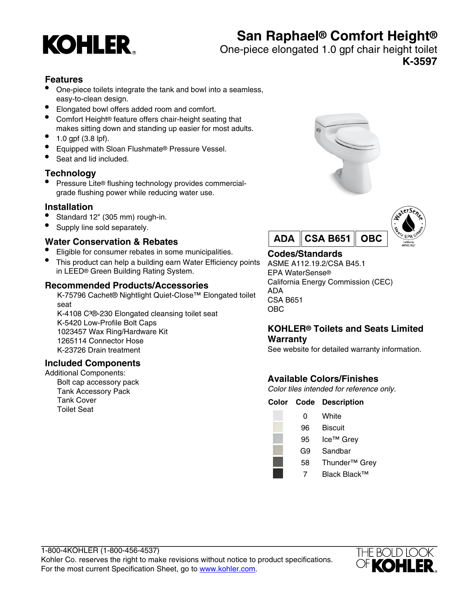# **KOHLER**

# **San Raphael® Comfort Height®**

One-piece elongated 1.0 gpf chair height toilet

**K-3597**

# **Features**

- One-piece toilets integrate the tank and bowl into a seamless, easy-to-clean design.
- Elongated bowl offers added room and comfort.
- Comfort Height® feature offers chair-height seating that makes sitting down and standing up easier for most adults.
- 1.0 gpf (3.8 lpf).
- Equipped with Sloan Flushmate® Pressure Vessel.
- Seat and lid included.

# **Technology**

• Pressure Lite® flushing technology provides commercialgrade flushing power while reducing water use.

# **Installation**

- Standard 12" (305 mm) rough-in.
- Supply line sold separately.

# **Water Conservation & Rebates**

- Eligible for consumer rebates in some municipalities.
- This product can help a building earn Water Efficiency points in LEED® Green Building Rating System.

# **Recommended Products/Accessories**

K-75796 Cachet® Nightlight Quiet-Close™ Elongated toilet seat K-4108 C<sup>3</sup>®-230 Elongated cleansing toilet seat K-5420 Low-Profile Bolt Caps 1023457 Wax Ring/Hardware Kit 1265114 Connector Hose

K-23726 Drain treatment

# **Included Components**

Additional Components: Bolt cap accessory pack Tank Accessory Pack Tank Cover Toilet Seat





# **Codes/Standards**

ASME A112.19.2/CSA B45.1 EPA WaterSense® California Energy Commission (CEC) ADA CSA B651 OBC

# **KOHLER® Toilets and Seats Limited Warranty**

See website for detailed warranty information.

# **Available Colors/Finishes**

Color tiles intended for reference only.

| Color Code | <b>Description</b>        |
|------------|---------------------------|
| 0          | White                     |
| 96         | <b>Biscuit</b>            |
| 95         | Ice <sup>™</sup> Grey     |
| G9         | Sandbar                   |
| 58         | Thunder <sup>™</sup> Grey |
|            | Black Black™              |